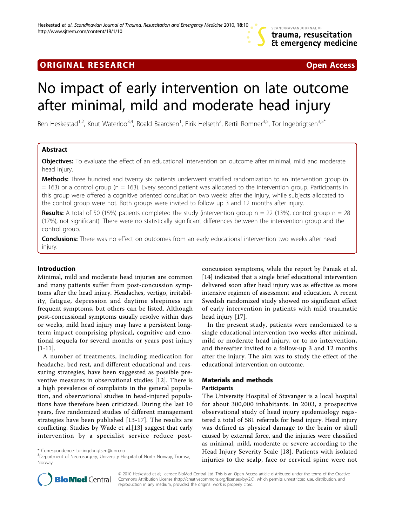# **ORIGINAL RESEARCH CONSUMING ACCESS**

# No impact of early intervention on late outcome after minimal, mild and moderate head injury

Ben Heskestad<sup>1,2</sup>, Knut Waterloo<sup>3,4</sup>, Roald Baardsen<sup>1</sup>, Eirik Helseth<sup>2</sup>, Bertil Romner<sup>3,5</sup>, Tor Ingebrigtsen<sup>3,5\*</sup>

# Abstract

Objectives: To evaluate the effect of an educational intervention on outcome after minimal, mild and moderate head injury.

Methods: Three hundred and twenty six patients underwent stratified randomization to an intervention group (n  $= 163$ ) or a control group (n  $= 163$ ). Every second patient was allocated to the intervention group. Participants in this group were offered a cognitive oriented consultation two weeks after the injury, while subjects allocated to the control group were not. Both groups were invited to follow up 3 and 12 months after injury.

**Results:** A total of 50 (15%) patients completed the study (intervention group  $n = 22$  (13%), control group  $n = 28$ (17%), not significant). There were no statistically significant differences between the intervention group and the control group.

**Conclusions:** There was no effect on outcomes from an early educational intervention two weeks after head injury.

# Introduction

Minimal, mild and moderate head injuries are common and many patients suffer from post-concussion symptoms after the head injury. Headaches, vertigo, irritability, fatigue, depression and daytime sleepiness are frequent symptoms, but others can be listed. Although post-concussional symptoms usually resolve within days or weeks, mild head injury may have a persistent longterm impact comprising physical, cognitive and emotional sequela for several months or years post injury  $|1-11|$  $|1-11|$  $|1-11|$  $|1-11|$ .

A number of treatments, including medication for headache, bed rest, and different educational and reassuring strategies, have been suggested as possible preventive measures in observational studies [\[12](#page-4-0)]. There is a high prevalence of complaints in the general population, and observational studies in head-injured populations have therefore been criticized. During the last 10 years, five randomized studies of different management strategies have been published [\[13-17](#page-4-0)]. The results are conflicting. Studies by Wade et al.[[13\]](#page-4-0) suggest that early intervention by a specialist service reduce postconcussion symptoms, while the report by Paniak et al. [[14\]](#page-4-0) indicated that a single brief educational intervention delivered soon after head injury was as effective as more intensive regimen of assessment and education. A recent Swedish randomized study showed no significant effect of early intervention in patients with mild traumatic head injury [\[17](#page-4-0)].

In the present study, patients were randomized to a single educational intervention two weeks after minimal, mild or moderate head injury, or to no intervention, and thereafter invited to a follow-up 3 and 12 months after the injury. The aim was to study the effect of the educational intervention on outcome.

# Materials and methods

## **Participants**

The University Hospital of Stavanger is a local hospital for about 300,000 inhabitants. In 2003, a prospective observational study of head injury epidemiology registered a total of 581 referrals for head injury. Head injury was defined as physical damage to the brain or skull caused by external force, and the injuries were classified as minimal, mild, moderate or severe according to the Head Injury Severity Scale [\[18\]](#page-4-0). Patients with isolated injuries to the scalp, face or cervical spine were not



© 2010 Heskestad et al; licensee BioMed Central Ltd. This is an Open Access article distributed under the terms of the Creative Commons Attribution License [\(http://creativecommons.org/licenses/by/2.0](http://creativecommons.org/licenses/by/2.0)), which permits unrestricted use, distribution, and reproduction in any medium, provided the original work is properly cited.

<sup>\*</sup> Correspondence: [tor.ingebrigtsen@unn.no](mailto:tor.ingebrigtsen@unn.no)

<sup>&</sup>lt;sup>3</sup>Department of Neurosurgery, University Hospital of North Norway, Tromsø, Norway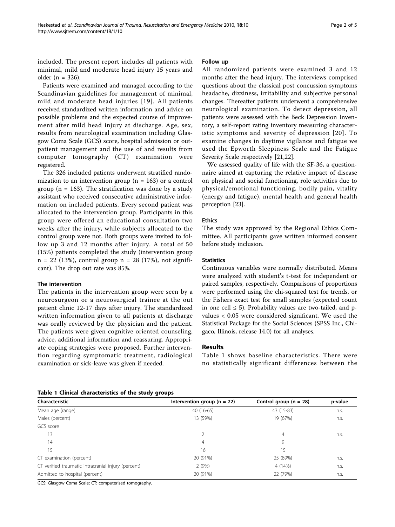included. The present report includes all patients with minimal, mild and moderate head injury 15 years and older (n = 326).

Patients were examined and managed according to the Scandinavian guidelines for management of minimal, mild and moderate head injuries [[19\]](#page-4-0). All patients received standardized written information and advice on possible problems and the expected course of improvement after mild head injury at discharge. Age, sex, results from neurological examination including Glasgow Coma Scale (GCS) score, hospital admission or outpatient management and the use of and results from computer tomography (CT) examination were registered.

The 326 included patients underwent stratified randomization to an intervention group ( $n = 163$ ) or a control group ( $n = 163$ ). The stratification was done by a study assistant who received consecutive administrative information on included patients. Every second patient was allocated to the intervention group. Participants in this group were offered an educational consultation two weeks after the injury, while subjects allocated to the control group were not. Both groups were invited to follow up 3 and 12 months after injury. A total of 50 (15%) patients completed the study (intervention group n = 22 (13%), control group n = 28 (17%), not significant). The drop out rate was 85%.

#### The intervention

The patients in the intervention group were seen by a neurosurgeon or a neurosurgical trainee at the out patient clinic 12-17 days after injury. The standardized written information given to all patients at discharge was orally reviewed by the physician and the patient. The patients were given cognitive oriented counseling, advice, additional information and reassuring. Appropriate coping strategies were proposed. Further intervention regarding symptomatic treatment, radiological examination or sick-leave was given if needed.

#### Follow up

All randomized patients were examined 3 and 12 months after the head injury. The interviews comprised questions about the classical post concussion symptoms headache, dizziness, irritability and subjective personal changes. Thereafter patients underwent a comprehensive neurological examination. To detect depression, all patients were assessed with the Beck Depression Inventory, a self-report rating inventory measuring characteristic symptoms and severity of depression [[20](#page-4-0)]. To examine changes in daytime vigilance and fatigue we used the Epworth Sleepiness Scale and the Fatigue Severity Scale respectively [\[21,22](#page-4-0)].

We assessed quality of life with the SF-36, a questionnaire aimed at capturing the relative impact of disease on physical and social functioning, role activities due to physical/emotional functioning, bodily pain, vitality (energy and fatigue), mental health and general health perception [\[23](#page-4-0)].

# Ethics

The study was approved by the Regional Ethics Committee. All participants gave written informed consent before study inclusion.

# **Statistics**

Continuous variables were normally distributed. Means were analyzed with student's t-test for independent or paired samples, respectively. Comparisons of proportions were performed using the chi-squared test for trends, or the Fishers exact test for small samples (expected count in one cell ≤ 5). Probability values are two-tailed, and pvalues < 0.05 were considered significant. We used the Statistical Package for the Social Sciences (SPSS Inc., Chigaco, Illinois, release 14.0) for all analyses.

# Results

Table 1 shows baseline characteristics. There were no statistically significant differences between the

|  | Table 1 Clinical characteristics of the study groups |  |  |
|--|------------------------------------------------------|--|--|
|  |                                                      |  |  |

| Characteristic                                      | Intervention group ( $n = 22$ ) | Control group ( $n = 28$ ) | p-value |
|-----------------------------------------------------|---------------------------------|----------------------------|---------|
| Mean age (range)                                    | 40 (16-65)                      | 43 (15-83)                 | n.s.    |
| Males (percent)                                     | 13 (59%)                        | 19 (67%)                   | n.s.    |
| GCS score                                           |                                 |                            |         |
| 13                                                  |                                 | $\overline{4}$             | n.s.    |
| 14                                                  | 4                               | 9                          |         |
| 15                                                  | 16                              | 15                         |         |
| CT examination (percent)                            | 20 (91%)                        | 25 (89%)                   | n.s.    |
| CT verified traumatic intracranial injury (percent) | 2(9%)                           | 4 (14%)                    | n.s.    |
| Admitted to hospital (percent)                      | 20 (91%)                        | 22 (79%)                   | n.s.    |

GCS: Glasgow Coma Scale; CT: computerised tomography.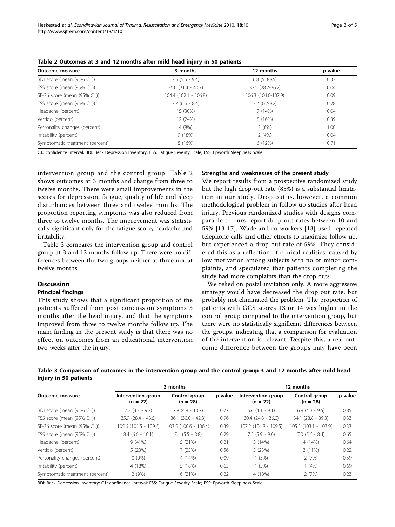| Outcome measure                 | 3 months               | 12 months           | p-value |
|---------------------------------|------------------------|---------------------|---------|
| BDI score (mean (95% C.I.))     | $7.5$ (5.6 - 9.4)      | $6.8$ (5.0-8.5)     | 0.33    |
| FSS score (mean (95% C.I.))     | $36.0$ $(31.4 - 40.7)$ | 32.5 (28.7-36.2)    | 0.04    |
| SF-36 score (mean (95% C.I.))   | 104.4 (102.1 - 106.8)  | 106.3 (104.6-107.9) | 0.09    |
| ESS score (mean (95% C.I.))     | $7.7(6.5 - 8.4)$       | $7.2(6.2-8.2)$      | 0.28    |
| Headache (percent)              | 15 (30%)               | 7 (14%)             | 0.04    |
| Vertigo (percent)               | 12 (24%)               | 8 (16%)             | 0.39    |
| Personality changes (percent)   | 4(8%)                  | 3(6%)               | 1.00    |
| Irritability (percent)          | 9(18%)                 | 2(4%)               | 0.04    |
| Symptomatic treatment (percent) | 8 (16%)                | 6(12%)              | 0.71    |

| Table 2 Outcomes at 3 and 12 months after mild head injury in 50 patients |  |  |  |  |  |
|---------------------------------------------------------------------------|--|--|--|--|--|
|---------------------------------------------------------------------------|--|--|--|--|--|

C.I.: confidence interval; BDI: Beck Depression Inventory; FSS: Fatigue Severity Scale; ESS: Epworth Sleepiness Scale.

intervention group and the control group. Table 2 shows outcomes at 3 months and change from three to twelve months. There were small improvements in the scores for depression, fatigue, quality of life and sleep disturbances between three and twelve months. The proportion reporting symptoms was also reduced from three to twelve months. The improvement was statistically significant only for the fatigue score, headache and irritability.

Table 3 compares the intervention group and control group at 3 and 12 months follow up. There were no differences between the two groups neither at three nor at twelve months.

## **Discussion**

#### Principal findings

This study shows that a significant proportion of the patients suffered from post concussion symptoms 3 months after the head injury, and that the symptoms improved from three to twelve months follow up. The main finding in the present study is that there was no effect on outcomes from an educational intervention two weeks after the injury.

#### Strengths and weaknesses of the present study

We report results from a prospective randomized study but the high drop-out rate (85%) is a substantial limitation in our study. Drop out is, however, a common methodological problem in follow up studies after head injury. Previous randomized studies with designs comparable to ours report drop out rates between 10 and 59% [[13-17\]](#page-4-0). Wade and co workers [[13\]](#page-4-0) used repeated telephone calls and other efforts to maximize follow up, but experienced a drop out rate of 59%. They considered this as a reflection of clinical realities, caused by low motivation among subjects with no or minor complaints, and speculated that patients completing the study had more complaints than the drop outs.

We relied on postal invitation only. A more aggressive strategy would have decreased the drop out rate, but probably not eliminated the problem. The proportion of patients with GCS scores 13 or 14 was higher in the control group compared to the intervention group, but there were no statistically significant differences between the groups, indicating that a comparison for evaluation of the intervention is relevant. Despite this, a real outcome difference between the groups may have been

Table 3 Comparison of outcomes in the intervention group and the control group 3 and 12 months after mild head injury in 50 patients

|                                 |                                  | 3 months                    | 12 months |                                  |                             |         |
|---------------------------------|----------------------------------|-----------------------------|-----------|----------------------------------|-----------------------------|---------|
| Outcome measure                 | Intervention group<br>$(n = 22)$ | Control group<br>$(n = 28)$ | p-value   | Intervention group<br>$(n = 22)$ | Control group<br>$(n = 28)$ | p-value |
| BDI score (mean (95% C.I.))     | $7.2(4.7 - 9.7)$                 | $7.8(4.9 - 10.7)$           | 0.77      | $6.6(4.1 - 9.1)$                 | $6.9(4.3 - 9.5)$            | 0.85    |
| FSS score (mean (95% C.I.))     | $35.9(28.4 - 43.5)$              | $36.1(30.0 - 42.3)$         | 0.96      | $30.4(24.8 - 36.0)$              | $34.1 (28.8 - 39.3)$        | 0.33    |
| SF-36 score (mean (95% C.I.))   | 105.6 (101.5 - 109.6)            | 103.5 (100.6 - 106.4)       | 0.39      | 107.2 (104.8 - 109.5)            | $105.5(103.1 - 107.9)$      | 0.33    |
| ESS score (mean (95% C.I.))     | $8.4(6.6 - 10.1)$                | $7.1$ $(5.5 - 8.8)$         | 0.29      | $7.5(5.9 - 9.0)$                 | $7.0$ (5.6 - 8.4)           | 0.65    |
| Headache (percent)              | 9(41%)                           | 5 (21%)                     | 0.21      | 3(14%)                           | 4 (14%)                     | 0.64    |
| Vertigo (percent)               | 5 (23%)                          | 7 (25%)                     | 0.56      | 5(23%)                           | $3(11\%)$                   | 0.22    |
| Personality changes (percent)   | $0(0\%)$                         | 4 (14%)                     | 0.09      | 1(5%)                            | 2(7%)                       | 0.59    |
| Irritability (percent)          | 4 (18%)                          | 5 (18%)                     | 0.63      | 1(5%)                            | 1(4%)                       | 0.69    |
| Symptomatic treatment (percent) | 2(9%)                            | 6 (21%)                     | 0.22      | 4 (18%)                          | 2(7%)                       | 0.23    |

BDI: Beck Depression Inventory; C.I.: confidence interval; FSS: Fatigue Severity Scale; ESS: Epworth Sleepiness Scale.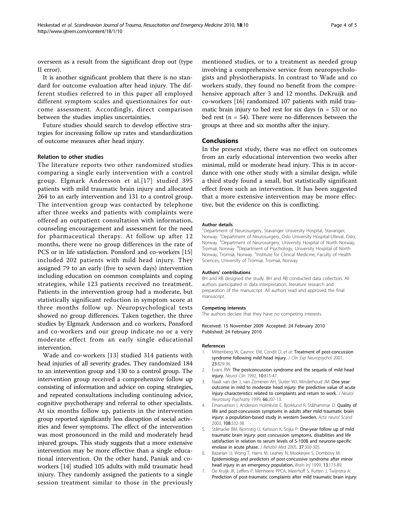<span id="page-3-0"></span>overseen as a result from the significant drop out (type II error).

It is another significant problem that there is no standard for outcome evaluation after head injury. The different studies referred to in this paper all employed different symptom scales and questionnaires for outcome assessment. Accordingly, direct comparison between the studies implies uncertainties.

Future studies should search to develop effective strategies for increasing follow up rates and standardization of outcome measures after head injury.

#### Relation to other studies

The literature reports two other randomized studies comparing a single early intervention with a control group. Elgmark Andersson et al.[[17](#page-4-0)] studied 395 patients with mild traumatic brain injury and allocated 264 to an early intervention and 131 to a control group. The intervention group was contacted by telephone after three weeks and patients with complaints were offered an outpatient consultation with information, counseling encouragement and assessment for the need for pharmaceutical therapy. At follow up after 12 months, there were no group differences in the rate of PCS or in life satisfaction. Ponsford and co-workers [[15](#page-4-0)] included 202 patients with mild head injury. They assigned 79 to an early (five to seven days) intervention including education on common complaints and coping strategies, while 123 patients received no treatment. Patients in the intervention group had a moderate, but statistically significant reduction in symptom score at three months follow up. Neuropsychological tests showed no group differences. Taken together, the three studies by Elgmark Andersson and co workers, Ponsford and co-workers and our group indicate no or a very moderate effect from an early single educational intervention.

Wade and co-workers [\[13\]](#page-4-0) studied 314 patients with head injuries of all severity grades. They randomized 184 to an intervention group and 130 to a control group. The intervention group received a comprehensive follow up consisting of information and advice on coping strategies, and repeated consultations including continuing advice, cognitive psychotherapy and referral to other specialists. At six months follow up, patients in the intervention group reported significantly less disruption of social activities and fewer symptoms. The effect of the intervention was most pronounced in the mild and moderately head injured groups. This study suggests that a more extensive intervention may be more effective than a single educational intervention. On the other hand, Paniak and coworkers [[14](#page-4-0)] studied 105 adults with mild traumatic head injury. They randomly assigned the patients to a single session treatment similar to those in the previously

mentioned studies, or to a treatment as needed group involving a comprehensive service from neuropsychologists and physiotherapists. In contrast to Wade and co workers study, they found no benefit from the comprehensive approach after 3 and 12 months. DeKruijk and co-workers [\[16\]](#page-4-0) randomized 107 patients with mild traumatic brain injury to bed rest for six days ( $n = 53$ ) or no bed rest ( $n = 54$ ). There were no differences between the groups at three and six months after the injury.

#### Conclusions

In the present study, there was no effect on outcomes from an early educational intervention two weeks after minimal, mild or moderate head injury. This is in accordance with one other study with a similar design, while a third study found a small, but statistically significant effect from such an intervention. It has been suggested that a more extensive intervention may be more effective, but the evidence on this is conflicting.

#### Author details

<sup>1</sup>Department of Neurosurgery, Stavanger University Hospital, Stavanger, Norway. <sup>2</sup>Department of Neurosurgery, Oslo University Hospital-Ulleval, Oslo Norway. <sup>3</sup> Department of Neurosurgery, University Hospital of North Norway, Tromsø, Norway. <sup>4</sup> Department of Psychology, University Hospital of North Norway, Tromsø, Norway. <sup>5</sup>Institute for Clinical Medicine, Faculty of Health Sciences, University of Tromsø, Tromsø, Norway.

#### Authors' contributions

BH and RB designed the study. BH and RB conducted data collection. All authors participated in data interpretation, literature research and preparation of the manuscript. All authors read and approved the final manuscript.

#### Competing interests

The authors declare that they have no competing interests.

Received: 15 November 2009 Accepted: 24 February 2010 Published: 24 February 2010

#### References

- 1. Mittenberg W, Caynoc EM, Condit D, et al: [Treatment of post-concussion](http://www.ncbi.nlm.nih.gov/pubmed/11910547?dopt=Abstract) [syndrome following mild head injury.](http://www.ncbi.nlm.nih.gov/pubmed/11910547?dopt=Abstract) J Clin Exp Neuropsychol 2001, 23:829-36.
- 2. Evans RW: [The postconcussion syndrome and the sequela of mild head](http://www.ncbi.nlm.nih.gov/pubmed/1435659?dopt=Abstract) [injury.](http://www.ncbi.nlm.nih.gov/pubmed/1435659?dopt=Abstract) Neurol Clin 1992, 10:815-47.
- 3. Naalt van der J, van Zomeren AH, Sluiter WJ, Minderhoud JM: [One year](http://www.ncbi.nlm.nih.gov/pubmed/10071101?dopt=Abstract) [outcome in mild to moderate head injury: the predictive value of acute](http://www.ncbi.nlm.nih.gov/pubmed/10071101?dopt=Abstract) [injury characteristics related to complaints and return to work.](http://www.ncbi.nlm.nih.gov/pubmed/10071101?dopt=Abstract) J Neurol Neurosurg Psychiatry 1999, 66:207-13.
- 4. Emanuelson I, Anderson Holmkvist E, Bjorklund R, Stålhammar D: [Quality of](http://www.ncbi.nlm.nih.gov/pubmed/14616303?dopt=Abstract) [life and post-concussion symptoms in adults after mild traumatic brain](http://www.ncbi.nlm.nih.gov/pubmed/14616303?dopt=Abstract) [injury: a population-based study in western Sweden.](http://www.ncbi.nlm.nih.gov/pubmed/14616303?dopt=Abstract) Acta neurol Scand 2003, 108:332-38.
- 5. Stålnacke BM, Bjornstig U, Karlsson K, Sojka P: [One-year follow up of mild](http://www.ncbi.nlm.nih.gov/pubmed/16208863?dopt=Abstract) [traumatic brain injury: post concussion symptoms, disabilities and life](http://www.ncbi.nlm.nih.gov/pubmed/16208863?dopt=Abstract) [satisfaction in relation to serum levels of S-100B and neurone-specific](http://www.ncbi.nlm.nih.gov/pubmed/16208863?dopt=Abstract) [enolase in acute phase.](http://www.ncbi.nlm.nih.gov/pubmed/16208863?dopt=Abstract) J Rehabil Med 2005, 37:300-305.
- Bazarian JJ, Wong T, Harris M, Leahey N, Mookerjee S, Dombovy M: [Epidemiology and predictors of post-concussive syndrome after minor](http://www.ncbi.nlm.nih.gov/pubmed/10081599?dopt=Abstract) [head injury in an emergency population.](http://www.ncbi.nlm.nih.gov/pubmed/10081599?dopt=Abstract) Brain Inj 1999, 13:173-89.
- 7. De Kruijk JR, Leffers P, Menheere PPCA, Meerhoff S, Rutten J, Twijnstra A: [Prediction of post-traumatic complaints after mild traumatic brain injury:](http://www.ncbi.nlm.nih.gov/pubmed/12438478?dopt=Abstract)